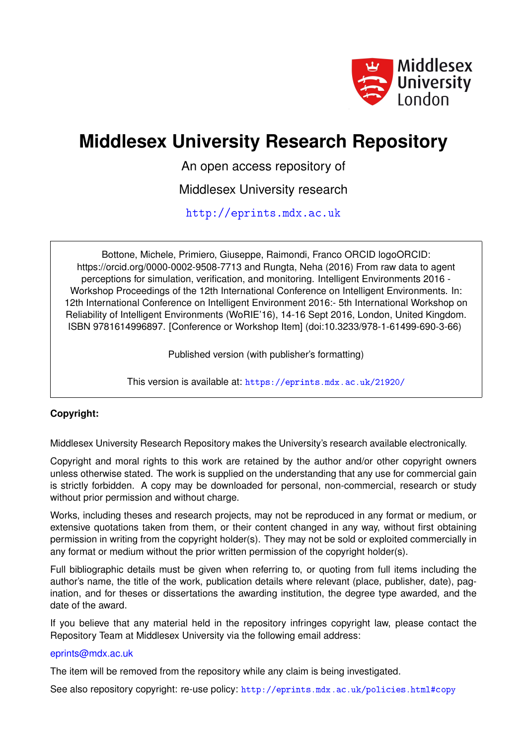

# **Middlesex University Research Repository**

An open access repository of

Middlesex University research

<http://eprints.mdx.ac.uk>

Bottone, Michele, Primiero, Giuseppe, Raimondi, Franco ORCID logoORCID: https://orcid.org/0000-0002-9508-7713 and Rungta, Neha (2016) From raw data to agent perceptions for simulation, verification, and monitoring. Intelligent Environments 2016 - Workshop Proceedings of the 12th International Conference on Intelligent Environments. In: 12th International Conference on Intelligent Environment 2016:- 5th International Workshop on Reliability of Intelligent Environments (WoRIE'16), 14-16 Sept 2016, London, United Kingdom. ISBN 9781614996897. [Conference or Workshop Item] (doi:10.3233/978-1-61499-690-3-66)

Published version (with publisher's formatting)

This version is available at: <https://eprints.mdx.ac.uk/21920/>

# **Copyright:**

Middlesex University Research Repository makes the University's research available electronically.

Copyright and moral rights to this work are retained by the author and/or other copyright owners unless otherwise stated. The work is supplied on the understanding that any use for commercial gain is strictly forbidden. A copy may be downloaded for personal, non-commercial, research or study without prior permission and without charge.

Works, including theses and research projects, may not be reproduced in any format or medium, or extensive quotations taken from them, or their content changed in any way, without first obtaining permission in writing from the copyright holder(s). They may not be sold or exploited commercially in any format or medium without the prior written permission of the copyright holder(s).

Full bibliographic details must be given when referring to, or quoting from full items including the author's name, the title of the work, publication details where relevant (place, publisher, date), pagination, and for theses or dissertations the awarding institution, the degree type awarded, and the date of the award.

If you believe that any material held in the repository infringes copyright law, please contact the Repository Team at Middlesex University via the following email address:

# [eprints@mdx.ac.uk](mailto:eprints@mdx.ac.uk)

The item will be removed from the repository while any claim is being investigated.

See also repository copyright: re-use policy: <http://eprints.mdx.ac.uk/policies.html#copy>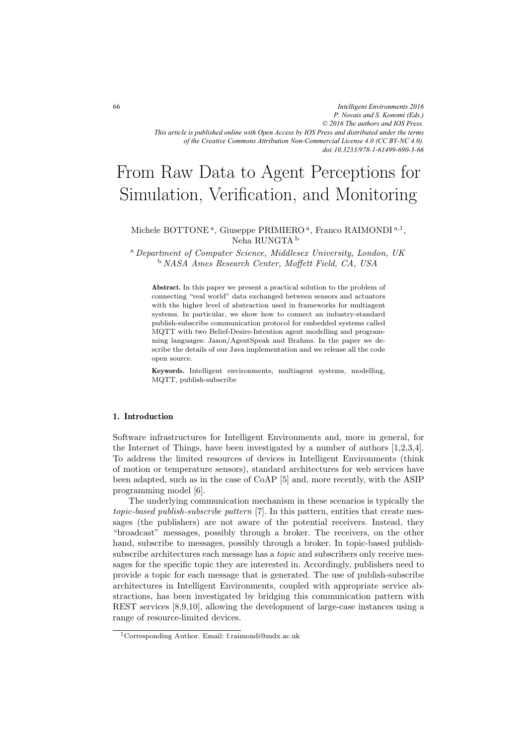*Intelligent Environments 2016 P. Novais and S. Konomi (Eds.) © 2016 The authors and IOS Press. This article is published online with Open Access by IOS Press and distributed under the terms of the Creative Commons Attribution Non-Commercial License 4.0 (CC BY-NC 4.0). doi:10.3233/978-1-61499-690-3-66*

# From Raw Data to Agent Perceptions for Simulation, Verification, and Monitoring

# Michele BOTTONE<sup>a</sup>, Giuseppe PRIMIERO<sup>a</sup>, Franco RAIMONDI<sup>a,1</sup>, Neha RUNGTA <sup>b</sup>

<sup>a</sup> *Department of Computer Science, Middlesex University, London, UK* <sup>b</sup> *NASA Ames Research Center, Moffett Field, CA, USA*

**Abstract.** In this paper we present a practical solution to the problem of connecting "real world" data exchanged between sensors and actuators with the higher level of abstraction used in frameworks for multiagent systems. In particular, we show how to connect an industry-standard publish-subscribe communication protocol for embedded systems called MQTT with two Belief-Desire-Intention agent modelling and programming languages: Jason/AgentSpeak and Brahms. In the paper we describe the details of our Java implementation and we release all the code open source.

**Keywords.** Intelligent environments, multiagent systems, modelling, MQTT, publish-subscribe

# **1. Introduction**

Software infrastructures for Intelligent Environments and, more in general, for the Internet of Things, have been investigated by a number of authors [1,2,3,4]. To address the limited resources of devices in Intelligent Environments (think of motion or temperature sensors), standard architectures for web services have been adapted, such as in the case of CoAP [5] and, more recently, with the ASIP programming model [6].

The underlying communication mechanism in these scenarios is typically the *topic-based publish-subscribe pattern* [7]. In this pattern, entities that create messages (the publishers) are not aware of the potential receivers. Instead, they "broadcast" messages, possibly through a broker. The receivers, on the other hand, subscribe to messages, possibly through a broker. In topic-based publishsubscribe architectures each message has a *topic* and subscribers only receive messages for the specific topic they are interested in. Accordingly, publishers need to provide a topic for each message that is generated. The use of publish-subscribe architectures in Intelligent Environments, coupled with appropriate service abstractions, has been investigated by bridging this communication pattern with REST services [8,9,10], allowing the development of large-case instances using a range of resource-limited devices.

<sup>1</sup>Corresponding Author. Email: f.raimondi@mdx.ac.uk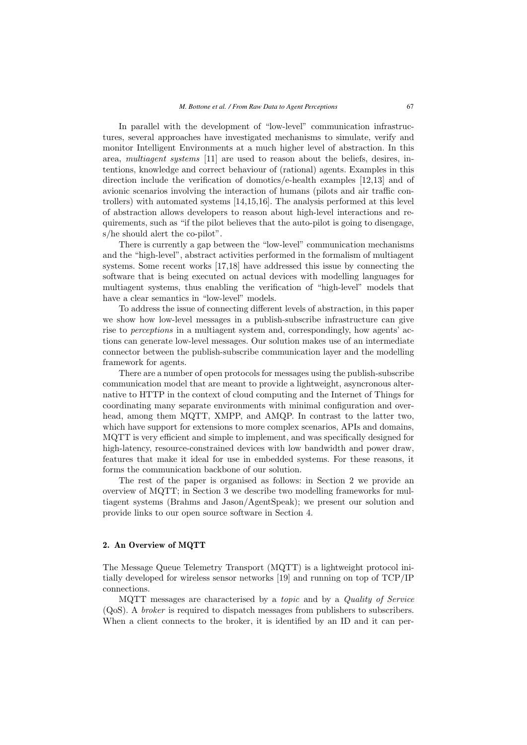In parallel with the development of "low-level" communication infrastructures, several approaches have investigated mechanisms to simulate, verify and monitor Intelligent Environments at a much higher level of abstraction. In this area, *multiagent systems* [11] are used to reason about the beliefs, desires, intentions, knowledge and correct behaviour of (rational) agents. Examples in this direction include the verification of domotics/e-health examples [12,13] and of avionic scenarios involving the interaction of humans (pilots and air traffic controllers) with automated systems [14,15,16]. The analysis performed at this level of abstraction allows developers to reason about high-level interactions and requirements, such as "if the pilot believes that the auto-pilot is going to disengage, s/he should alert the co-pilot".

There is currently a gap between the "low-level" communication mechanisms and the "high-level", abstract activities performed in the formalism of multiagent systems. Some recent works [17,18] have addressed this issue by connecting the software that is being executed on actual devices with modelling languages for multiagent systems, thus enabling the verification of "high-level" models that have a clear semantics in "low-level" models.

To address the issue of connecting different levels of abstraction, in this paper we show how low-level messages in a publish-subscribe infrastructure can give rise to *perceptions* in a multiagent system and, correspondingly, how agents' actions can generate low-level messages. Our solution makes use of an intermediate connector between the publish-subscribe communication layer and the modelling framework for agents.

There are a number of open protocols for messages using the publish-subscribe communication model that are meant to provide a lightweight, asyncronous alternative to HTTP in the context of cloud computing and the Internet of Things for coordinating many separate environments with minimal configuration and overhead, among them MQTT, XMPP, and AMQP. In contrast to the latter two, which have support for extensions to more complex scenarios, APIs and domains, MQTT is very efficient and simple to implement, and was specifically designed for high-latency, resource-constrained devices with low bandwidth and power draw, features that make it ideal for use in embedded systems. For these reasons, it forms the communication backbone of our solution.

The rest of the paper is organised as follows: in Section 2 we provide an overview of MQTT; in Section 3 we describe two modelling frameworks for multiagent systems (Brahms and Jason/AgentSpeak); we present our solution and provide links to our open source software in Section 4.

# **2. An Overview of MQTT**

The Message Queue Telemetry Transport (MQTT) is a lightweight protocol initially developed for wireless sensor networks [19] and running on top of TCP/IP connections.

MQTT messages are characterised by a *topic* and by a *Quality of Service* (QoS). A *broker* is required to dispatch messages from publishers to subscribers. When a client connects to the broker, it is identified by an ID and it can per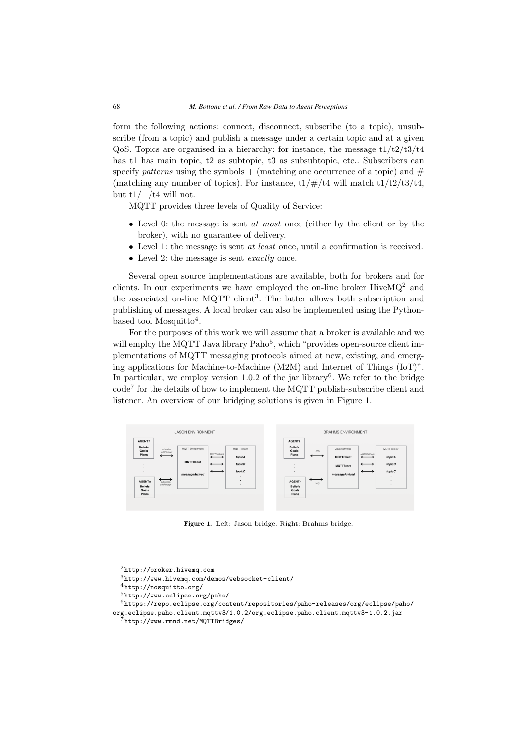form the following actions: connect, disconnect, subscribe (to a topic), unsubscribe (from a topic) and publish a message under a certain topic and at a given QoS. Topics are organised in a hierarchy: for instance, the message  $t1/t2/t3/t4$ has t1 has main topic, t2 as subtopic, t3 as subsubtopic, etc.. Subscribers can specify *patterns* using the symbols  $+$  (matching one occurrence of a topic) and  $#$ (matching any number of topics). For instance,  $t1/\#/t4$  will match  $t1/t2/t3/t4$ , but  $t1/+/t4$  will not.

MQTT provides three levels of Quality of Service:

- Level 0: the message is sent *at most* once (either by the client or by the broker), with no guarantee of delivery.
- Level 1: the message is sent *at least* once, until a confirmation is received.
- Level 2: the message is sent *exactly* once.

Several open source implementations are available, both for brokers and for clients. In our experiments we have employed the on-line broker  $HiveMQ<sup>2</sup>$  and the associated on-line MQTT client<sup>3</sup>. The latter allows both subscription and publishing of messages. A local broker can also be implemented using the Pythonbased tool Mosquitto<sup>4</sup>.

For the purposes of this work we will assume that a broker is available and we will employ the MQTT Java library Paho<sup>5</sup>, which "provides open-source client implementations of MQTT messaging protocols aimed at new, existing, and emerging applications for Machine-to-Machine (M2M) and Internet of Things (IoT)". In particular, we employ version  $1.0.2$  of the jar library<sup>6</sup>. We refer to the bridge  $\text{code}^7$  for the details of how to implement the MQTT publish-subscribe client and listener. An overview of our bridging solutions is given in Figure 1.



**Figure 1.** Left: Jason bridge. Right: Brahms bridge.

<sup>2</sup>http://broker.hivemq.com

<sup>3</sup>http://www.hivemq.com/demos/websocket-client/

<sup>4</sup>http://mosquitto.org/

<sup>5</sup>http://www.eclipse.org/paho/

 $^6$ https://repo.eclipse.org/content/repositories/paho-releases/org/eclipse/paho/ org.eclipse.paho.client.mqttv3/1.0.2/org.eclipse.paho.client.mqttv3-1.0.2.jar

<sup>7</sup>http://www.rmnd.net/MQTTBridges/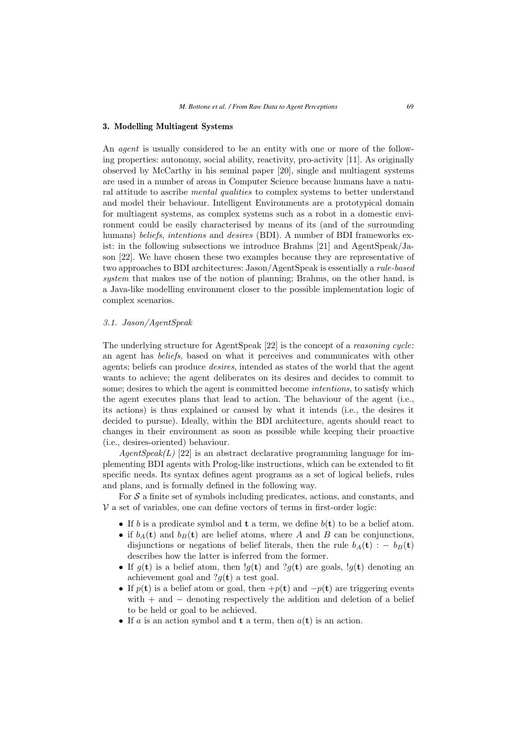## **3. Modelling Multiagent Systems**

An *agent* is usually considered to be an entity with one or more of the following properties: autonomy, social ability, reactivity, pro-activity [11]. As originally observed by McCarthy in his seminal paper [20], single and multiagent systems are used in a number of areas in Computer Science because humans have a natural attitude to ascribe *mental qualities* to complex systems to better understand and model their behaviour. Intelligent Environments are a prototypical domain for multiagent systems, as complex systems such as a robot in a domestic environment could be easily characterised by means of its (and of the surrounding humans) *beliefs*, *intentions* and *desires* (BDI). A number of BDI frameworks exist: in the following subsections we introduce Brahms [21] and AgentSpeak/Jason [22]. We have chosen these two examples because they are representative of two approaches to BDI architectures: Jason/AgentSpeak is essentially a *rule-based system* that makes use of the notion of planning; Brahms, on the other hand, is a Java-like modelling environment closer to the possible implementation logic of complex scenarios.

# *3.1. Jason/AgentSpeak*

The underlying structure for AgentSpeak [22] is the concept of a *reasoning cycle*: an agent has *beliefs*, based on what it perceives and communicates with other agents; beliefs can produce *desires*, intended as states of the world that the agent wants to achieve; the agent deliberates on its desires and decides to commit to some; desires to which the agent is committed become *intentions*, to satisfy which the agent executes plans that lead to action. The behaviour of the agent (i.e., its actions) is thus explained or caused by what it intends (i.e., the desires it decided to pursue). Ideally, within the BDI architecture, agents should react to changes in their environment as soon as possible while keeping their proactive (i.e., desires-oriented) behaviour.

*AgentSpeak(L)* [22] is an abstract declarative programming language for implementing BDI agents with Prolog-like instructions, which can be extended to fit specific needs. Its syntax defines agent programs as a set of logical beliefs, rules and plans, and is formally defined in the following way.

For  $\mathcal S$  a finite set of symbols including predicates, actions, and constants, and  $V$  a set of variables, one can define vectors of terms in first-order logic:

- If b is a predicate symbol and **<sup>t</sup>** a term, we define b(**t**) to be a belief atom.
- if  $b_A(t)$  and  $b_B(t)$  are belief atoms, where A and B can be conjunctions, disjunctions or negations of belief literals, then the rule  $b_A(\mathbf{t})$  : −  $b_B(\mathbf{t})$ describes how the latter is inferred from the former.
- If  $g(\mathbf{t})$  is a belief atom, then  $g(\mathbf{t})$  and  $g(\mathbf{t})$  are goals,  $g(\mathbf{t})$  denoting an achievement goal and  $?q(t)$  a test goal.
- If  $p(\mathbf{t})$  is a belief atom or goal, then  $+p(\mathbf{t})$  and  $-p(\mathbf{t})$  are triggering events with  $+$  and  $-$  denoting respectively the addition and deletion of a belief to be held or goal to be achieved.
- If a is an action symbol and **<sup>t</sup>** a term, then a(**t**) is an action.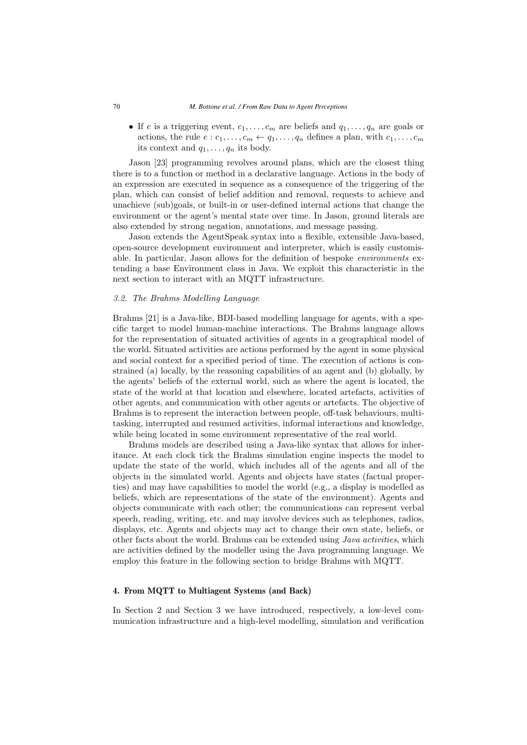• If e is a triggering event,  $c_1, \ldots, c_m$  are beliefs and  $q_1, \ldots, q_n$  are goals or actions, the rule  $e: c_1, \ldots, c_m \leftarrow q_1, \ldots, q_n$  defines a plan, with  $c_1, \ldots, c_m$ its context and  $q_1, \ldots, q_n$  its body.

Jason [23] programming revolves around plans, which are the closest thing there is to a function or method in a declarative language. Actions in the body of an expression are executed in sequence as a consequence of the triggering of the plan, which can consist of belief addition and removal, requests to achieve and unachieve (sub)goals, or built-in or user-defined internal actions that change the environment or the agent's mental state over time. In Jason, ground literals are also extended by strong negation, annotations, and message passing.

Jason extends the AgentSpeak syntax into a flexible, extensible Java-based, open-source development environment and interpreter, which is easily customisable. In particular, Jason allows for the definition of bespoke *environments* extending a base Environment class in Java. We exploit this characteristic in the next section to interact with an MQTT infrastructure.

## *3.2. The Brahms Modelling Language*

Brahms [21] is a Java-like, BDI-based modelling language for agents, with a specific target to model human-machine interactions. The Brahms language allows for the representation of situated activities of agents in a geographical model of the world. Situated activities are actions performed by the agent in some physical and social context for a specified period of time. The execution of actions is constrained (a) locally, by the reasoning capabilities of an agent and (b) globally, by the agents' beliefs of the external world, such as where the agent is located, the state of the world at that location and elsewhere, located artefacts, activities of other agents, and communication with other agents or artefacts. The objective of Brahms is to represent the interaction between people, off-task behaviours, multitasking, interrupted and resumed activities, informal interactions and knowledge, while being located in some environment representative of the real world.

Brahms models are described using a Java-like syntax that allows for inheritance. At each clock tick the Brahms simulation engine inspects the model to update the state of the world, which includes all of the agents and all of the objects in the simulated world. Agents and objects have states (factual properties) and may have capabilities to model the world (e.g., a display is modelled as beliefs, which are representations of the state of the environment). Agents and objects communicate with each other; the communications can represent verbal speech, reading, writing, etc. and may involve devices such as telephones, radios, displays, etc. Agents and objects may act to change their own state, beliefs, or other facts about the world. Brahms can be extended using *Java activities*, which are activities defined by the modeller using the Java programming language. We employ this feature in the following section to bridge Brahms with MQTT.

#### **4. From MQTT to Multiagent Systems (and Back)**

In Section 2 and Section 3 we have introduced, respectively, a low-level communication infrastructure and a high-level modelling, simulation and verification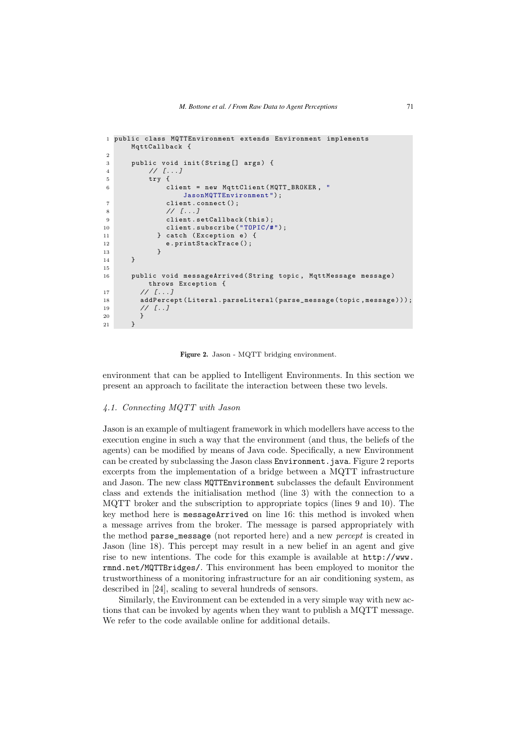```
1 public class MQTTEnvironment extends Environment implements
     MqttCallback {
2
3 public void init(String[] args) {
4 // \lceil \dots \rceil5 try {
6 client = new MqttClient(MQTT_BROKER , "
                JasonMQTTEnvironment") ;
7 client.connect();
8 / / [...]<br>a clients
             client.setCallback(this);
10 client.subscribe("TOPIC/#");
11 } catch (Exception e) {
12 e.printStackTrace();<br>13
13 }
14 }
15
16 public void messageArrived(String topic , MqttMessage message)
         throws Exception {
17 // 1.118 addPercept(Literal.parseLiteral(parse_message( topic , message)));
19 \frac{1}{\sqrt{1}}...
20 }
21 }
```
**Figure 2.** Jason - MQTT bridging environment.

environment that can be applied to Intelligent Environments. In this section we present an approach to facilitate the interaction between these two levels.

#### *4.1. Connecting MQTT with Jason*

Jason is an example of multiagent framework in which modellers have access to the execution engine in such a way that the environment (and thus, the beliefs of the agents) can be modified by means of Java code. Specifically, a new Environment can be created by subclassing the Jason class Environment.java. Figure 2 reports excerpts from the implementation of a bridge between a MQTT infrastructure and Jason. The new class MQTTEnvironment subclasses the default Environment class and extends the initialisation method (line 3) with the connection to a MQTT broker and the subscription to appropriate topics (lines 9 and 10). The key method here is messageArrived on line 16: this method is invoked when a message arrives from the broker. The message is parsed appropriately with the method parse\_message (not reported here) and a new *percept* is created in Jason (line 18). This percept may result in a new belief in an agent and give rise to new intentions. The code for this example is available at http://www. rmnd.net/MQTTBridges/. This environment has been employed to monitor the trustworthiness of a monitoring infrastructure for an air conditioning system, as described in [24], scaling to several hundreds of sensors.

Similarly, the Environment can be extended in a very simple way with new actions that can be invoked by agents when they want to publish a MQTT message. We refer to the code available online for additional details.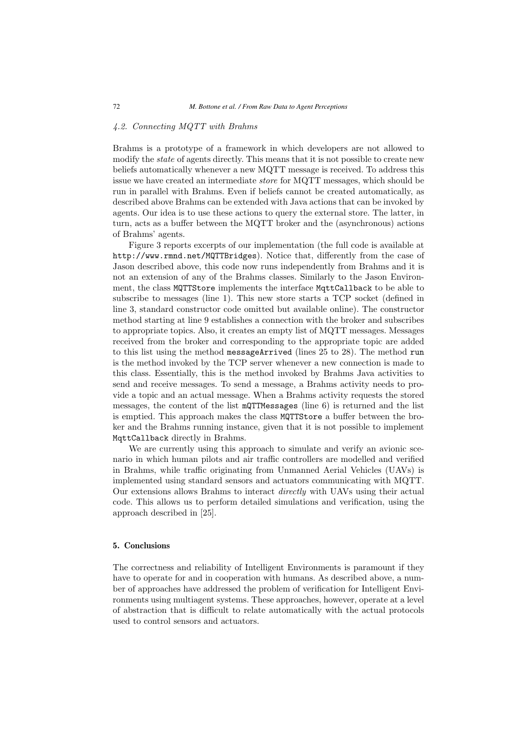# *4.2. Connecting MQTT with Brahms*

Brahms is a prototype of a framework in which developers are not allowed to modify the *state* of agents directly. This means that it is not possible to create new beliefs automatically whenever a new MQTT message is received. To address this issue we have created an intermediate *store* for MQTT messages, which should be run in parallel with Brahms. Even if beliefs cannot be created automatically, as described above Brahms can be extended with Java actions that can be invoked by agents. Our idea is to use these actions to query the external store. The latter, in turn, acts as a buffer between the MQTT broker and the (asynchronous) actions of Brahms' agents.

Figure 3 reports excerpts of our implementation (the full code is available at http://www.rmnd.net/MQTTBridges). Notice that, differently from the case of Jason described above, this code now runs independently from Brahms and it is not an extension of any of the Brahms classes. Similarly to the Jason Environment, the class MQTTStore implements the interface MqttCallback to be able to subscribe to messages (line 1). This new store starts a TCP socket (defined in line 3, standard constructor code omitted but available online). The constructor method starting at line 9 establishes a connection with the broker and subscribes to appropriate topics. Also, it creates an empty list of MQTT messages. Messages received from the broker and corresponding to the appropriate topic are added to this list using the method messageArrived (lines 25 to 28). The method run is the method invoked by the TCP server whenever a new connection is made to this class. Essentially, this is the method invoked by Brahms Java activities to send and receive messages. To send a message, a Brahms activity needs to provide a topic and an actual message. When a Brahms activity requests the stored messages, the content of the list mQTTMessages (line 6) is returned and the list is emptied. This approach makes the class MQTTStore a buffer between the broker and the Brahms running instance, given that it is not possible to implement MqttCallback directly in Brahms.

We are currently using this approach to simulate and verify an avionic scenario in which human pilots and air traffic controllers are modelled and verified in Brahms, while traffic originating from Unmanned Aerial Vehicles (UAVs) is implemented using standard sensors and actuators communicating with MQTT. Our extensions allows Brahms to interact *directly* with UAVs using their actual code. This allows us to perform detailed simulations and verification, using the approach described in [25].

### **5. Conclusions**

The correctness and reliability of Intelligent Environments is paramount if they have to operate for and in cooperation with humans. As described above, a number of approaches have addressed the problem of verification for Intelligent Environments using multiagent systems. These approaches, however, operate at a level of abstraction that is difficult to relate automatically with the actual protocols used to control sensors and actuators.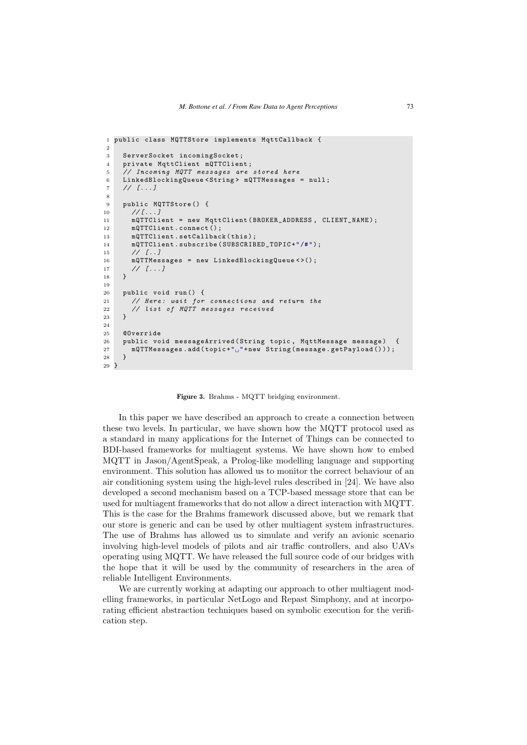```
1 public class MQTTStore implements MqttCallback {
\overline{2}3 ServerSocket incomingSocket;
4 private MqttClient mQTTClient;
5 // Incoming MQTT messages are stored here
6 LinkedBlockingQueue <String > mQTTMessages = null;
7 // [...]
8
9 public MQTTStore() {
10 / / [...]
11 mQTTClient = new MqttClient(BROKER_ADDRESS , CLIENT_NAME);
12 mQTTClient.connect();
13 mQTTClient.setCallback(this);
14 mQTTClient.subscribe(SUBSCRIBED_TOPIC+"/#") ;
15 // [...]16 mQTTMessages = new LinkedBlockingQueue <>();
17 // [...]18 }
19
20 public void run() {
21 // Here: wait for connections and return the
22 // list of MQTT messages received
23 }
24
25 @Override
26 public void messageArrived(String topic , MqttMessage message) {
_{27} mQTTMessages.add(topic+"_{\sqcup}"+new String(message.getPayload()));
28 }
29 }
```
**Figure 3.** Brahms - MQTT bridging environment.

In this paper we have described an approach to create a connection between these two levels. In particular, we have shown how the MQTT protocol used as a standard in many applications for the Internet of Things can be connected to BDI-based frameworks for multiagent systems. We have shown how to embed MQTT in Jason/AgentSpeak, a Prolog-like modelling language and supporting environment. This solution has allowed us to monitor the correct behaviour of an air conditioning system using the high-level rules described in [24]. We have also developed a second mechanism based on a TCP-based message store that can be used for multiagent frameworks that do not allow a direct interaction with MQTT. This is the case for the Brahms framework discussed above, but we remark that our store is generic and can be used by other multiagent system infrastructures. The use of Brahms has allowed us to simulate and verify an avionic scenario involving high-level models of pilots and air traffic controllers, and also UAVs operating using MQTT. We have released the full source code of our bridges with the hope that it will be used by the community of researchers in the area of reliable Intelligent Environments.

We are currently working at adapting our approach to other multiagent modelling frameworks, in particular NetLogo and Repast Simphony, and at incorporating efficient abstraction techniques based on symbolic execution for the verification step.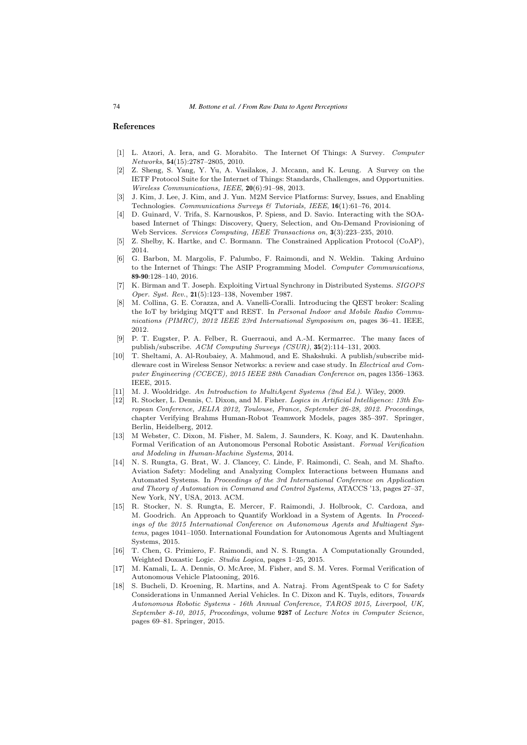#### **References**

- [1] L. Atzori, A. Iera, and G. Morabito. The Internet Of Things: A Survey. Computer Networks, **54**(15):2787–2805, 2010.
- [2] Z. Sheng, S. Yang, Y. Yu, A. Vasilakos, J. Mccann, and K. Leung. A Survey on the IETF Protocol Suite for the Internet of Things: Standards, Challenges, and Opportunities. Wireless Communications, IEEE, **20**(6):91–98, 2013.
- [3] J. Kim, J. Lee, J. Kim, and J. Yun. M2M Service Platforms: Survey, Issues, and Enabling Technologies. Communications Surveys & Tutorials, IEEE, **16**(1):61–76, 2014.
- [4] D. Guinard, V. Trifa, S. Karnouskos, P. Spiess, and D. Savio. Interacting with the SOAbased Internet of Things: Discovery, Query, Selection, and On-Demand Provisioning of Web Services. Services Computing, IEEE Transactions on, **3**(3):223–235, 2010.
- [5] Z. Shelby, K. Hartke, and C. Bormann. The Constrained Application Protocol (CoAP), 2014.
- [6] G. Barbon, M. Margolis, F. Palumbo, F. Raimondi, and N. Weldin. Taking Arduino to the Internet of Things: The ASIP Programming Model. Computer Communications, **89-90**:128–140, 2016.
- [7] K. Birman and T. Joseph. Exploiting Virtual Synchrony in Distributed Systems. SIGOPS Oper. Syst. Rev., **21**(5):123–138, November 1987.
- [8] M. Collina, G. E. Corazza, and A. Vanelli-Coralli. Introducing the QEST broker: Scaling the IoT by bridging MQTT and REST. In Personal Indoor and Mobile Radio Communications (PIMRC), 2012 IEEE 23rd International Symposium on, pages 36–41. IEEE, 2012.
- [9] P. T. Eugster, P. A. Felber, R. Guerraoui, and A.-M. Kermarrec. The many faces of publish/subscribe. ACM Computing Surveys (CSUR), **35**(2):114–131, 2003.
- [10] T. Sheltami, A. Al-Roubaiey, A. Mahmoud, and E. Shakshuki. A publish/subscribe middleware cost in Wireless Sensor Networks: a review and case study. In Electrical and Computer Engineering (CCECE), 2015 IEEE 28th Canadian Conference on, pages 1356–1363. IEEE, 2015.
- [11] M. J. Wooldridge. An Introduction to MultiAgent Systems (2nd Ed.). Wiley, 2009.
- [12] R. Stocker, L. Dennis, C. Dixon, and M. Fisher. Logics in Artificial Intelligence: 13th European Conference, JELIA 2012, Toulouse, France, September 26-28, 2012. Proceedings, chapter Verifying Brahms Human-Robot Teamwork Models, pages 385–397. Springer, Berlin, Heidelberg, 2012.
- [13] M Webster, C. Dixon, M. Fisher, M. Salem, J. Saunders, K. Koay, and K. Dautenhahn. Formal Verification of an Autonomous Personal Robotic Assistant. Formal Verification and Modeling in Human-Machine Systems, 2014.
- [14] N. S. Rungta, G. Brat, W. J. Clancey, C. Linde, F. Raimondi, C. Seah, and M. Shafto. Aviation Safety: Modeling and Analyzing Complex Interactions between Humans and Automated Systems. In Proceedings of the 3rd International Conference on Application and Theory of Automation in Command and Control Systems, ATACCS '13, pages 27–37, New York, NY, USA, 2013. ACM.
- [15] R. Stocker, N. S. Rungta, E. Mercer, F. Raimondi, J. Holbrook, C. Cardoza, and M. Goodrich. An Approach to Quantify Workload in a System of Agents. In Proceedings of the 2015 International Conference on Autonomous Agents and Multiagent Systems, pages 1041–1050. International Foundation for Autonomous Agents and Multiagent Systems, 2015.
- [16] T. Chen, G. Primiero, F. Raimondi, and N. S. Rungta. A Computationally Grounded, Weighted Doxastic Logic. Studia Logica, pages 1–25, 2015.
- [17] M. Kamali, L. A. Dennis, O. McAree, M. Fisher, and S. M. Veres. Formal Verification of Autonomous Vehicle Platooning, 2016.
- [18] S. Bucheli, D. Kroening, R. Martins, and A. Natraj. From AgentSpeak to C for Safety Considerations in Unmanned Aerial Vehicles. In C. Dixon and K. Tuyls, editors, Towards Autonomous Robotic Systems - 16th Annual Conference, TAROS 2015, Liverpool, UK, September 8-10, 2015, Proceedings, volume **9287** of Lecture Notes in Computer Science, pages 69–81. Springer, 2015.